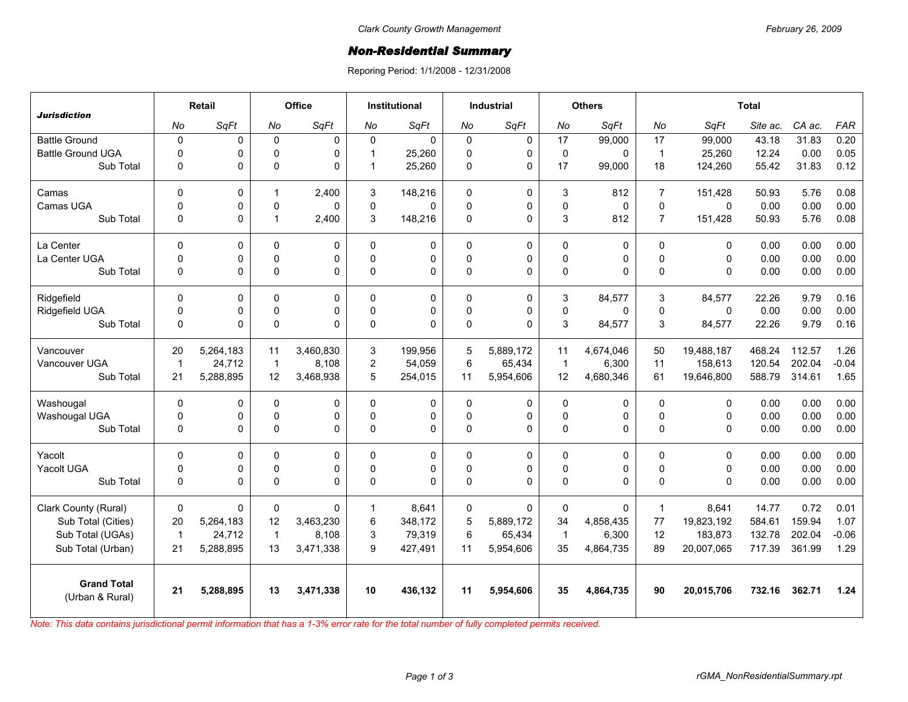## *Non-Residential Summary*

Reporing Period: 1/1/2008 - 12/31/2008

| <b>Jurisdiction</b>                   | Retail         |           | Office         |              | <b>Institutional</b> |             | <b>Industrial</b> |             | <b>Others</b> |           | <b>Total</b>   |              |          |        |         |
|---------------------------------------|----------------|-----------|----------------|--------------|----------------------|-------------|-------------------|-------------|---------------|-----------|----------------|--------------|----------|--------|---------|
|                                       | No             | SqFt      | No             | SqFt         | No                   | SqFt        | No                | SqFt        | No            | SqFt      | No             | SqFt         | Site ac. | CA ac. | FAR     |
| <b>Battle Ground</b>                  | $\pmb{0}$      | 0         | $\mathbf{0}$   | $\mathbf 0$  | $\Omega$             | $\mathbf 0$ | $\mathbf 0$       | 0           | 17            | 99,000    | 17             | 99,000       | 43.18    | 31.83  | 0.20    |
| <b>Battle Ground UGA</b>              | $\mathbf 0$    | 0         | $\Omega$       | $\Omega$     | 1                    | 25,260      | $\Omega$          | $\Omega$    | $\mathbf 0$   | 0         | $\overline{1}$ | 25,260       | 12.24    | 0.00   | 0.05    |
| Sub Total                             | $\mathbf 0$    | 0         | $\Omega$       | $\Omega$     | $\mathbf 1$          | 25,260      | 0                 | $\Omega$    | 17            | 99,000    | 18             | 124,260      | 55.42    | 31.83  | 0.12    |
| Camas                                 | 0              | 0         | $\mathbf{1}$   | 2,400        | 3                    | 148,216     | 0                 | 0           | 3             | 812       | $\overline{7}$ | 151,428      | 50.93    | 5.76   | 0.08    |
| Camas UGA                             | $\mathbf 0$    | 0         | $\Omega$       | $\Omega$     | $\Omega$             | $\Omega$    | $\Omega$          | $\Omega$    | 0             | 0         | $\Omega$       | $\mathbf{0}$ | 0.00     | 0.00   | 0.00    |
| Sub Total                             | $\mathbf 0$    | 0         | $\mathbf{1}$   | 2,400        | 3                    | 148,216     | $\Omega$          | $\mathbf 0$ | 3             | 812       | $\overline{7}$ | 151,428      | 50.93    | 5.76   | 0.08    |
| La Center                             | $\mathbf 0$    | 0         | $\Omega$       | $\mathbf 0$  | $\Omega$             | 0           | $\mathbf{0}$      | $\mathbf 0$ | 0             | 0         | $\Omega$       | $\Omega$     | 0.00     | 0.00   | 0.00    |
| La Center UGA                         | $\mathbf 0$    | 0         | 0              | $\pmb{0}$    | $\mathbf{0}$         | 0           | 0                 | $\mathbf 0$ | $\mathbf 0$   | 0         | $\Omega$       | $\mathbf 0$  | 0.00     | 0.00   | 0.00    |
| Sub Total                             | $\mathbf 0$    | 0         | $\Omega$       | $\Omega$     | $\Omega$             | $\Omega$    | $\Omega$          | $\Omega$    | 0             | $\Omega$  | $\Omega$       | $\Omega$     | 0.00     | 0.00   | 0.00    |
| Ridgefield                            | $\Omega$       | 0         | $\Omega$       | 0            | $\Omega$             | 0           | $\Omega$          | $\mathbf 0$ | 3             | 84,577    | 3              | 84,577       | 22.26    | 9.79   | 0.16    |
| Ridgefield UGA                        | $\mathbf 0$    | 0         | 0              | $\mathbf 0$  | $\mathbf 0$          | 0           | 0                 | $\pmb{0}$   | $\mathsf 0$   | 0         | $\Omega$       | $\mathbf 0$  | 0.00     | 0.00   | 0.00    |
| Sub Total                             | $\mathbf 0$    | 0         | $\Omega$       | $\Omega$     | $\Omega$             | 0           | 0                 | $\Omega$    | 3             | 84,577    | 3              | 84,577       | 22.26    | 9.79   | 0.16    |
| Vancouver                             | 20             | 5,264,183 | 11             | 3,460,830    | 3                    | 199,956     | 5                 | 5.889.172   | 11            | 4,674,046 | 50             | 19,488,187   | 468.24   | 112.57 | 1.26    |
| Vancouver UGA                         | $\overline{1}$ | 24,712    | $\overline{1}$ | 8,108        | $\overline{2}$       | 54,059      | 6                 | 65,434      | $\mathbf{1}$  | 6,300     | 11             | 158,613      | 120.54   | 202.04 | $-0.04$ |
| Sub Total                             | 21             | 5,288,895 | 12             | 3,468,938    | 5                    | 254,015     | 11                | 5,954,606   | 12            | 4,680,346 | 61             | 19,646,800   | 588.79   | 314.61 | 1.65    |
| Washougal                             | $\Omega$       | 0         | 0              | $\mathbf 0$  | $\Omega$             | 0           | $\mathbf 0$       | $\mathbf 0$ | 0             | 0         | $\Omega$       | $\mathbf 0$  | 0.00     | 0.00   | 0.00    |
| Washougal UGA                         | 0              | 0         | $\Omega$       | 0            | $\Omega$             | 0           | $\Omega$          | $\mathbf 0$ | 0             | 0         | $\Omega$       | $\Omega$     | 0.00     | 0.00   | 0.00    |
| Sub Total                             | $\mathbf 0$    | 0         | 0              | $\mathbf 0$  | 0                    | 0           | 0                 | $\mathbf 0$ | $\mathsf 0$   | 0         | $\mathbf 0$    | $\mathbf 0$  | 0.00     | 0.00   | 0.00    |
| Yacolt                                | $\mathbf{0}$   | 0         | $\Omega$       | 0            | $\Omega$             | 0           | 0                 | 0           | 0             | 0         | $\Omega$       | $\Omega$     | 0.00     | 0.00   | 0.00    |
| Yacolt UGA                            | $\mathbf 0$    | 0         | $\Omega$       | $\mathbf 0$  | $\Omega$             | 0           | 0                 | $\mathbf 0$ | $\mathbf 0$   | 0         | $\Omega$       | $\Omega$     | 0.00     | 0.00   | 0.00    |
| Sub Total                             | 0              | 0         | $\Omega$       | $\Omega$     | $\Omega$             | $\Omega$    | $\Omega$          | $\Omega$    | 0             | $\Omega$  | $\Omega$       | $\Omega$     | 0.00     | 0.00   | 0.00    |
| Clark County (Rural)                  | $\mathbf 0$    | 0         | $\mathbf 0$    | $\mathbf{0}$ | 1                    | 8,641       | 0                 | 0           | 0             | 0         | $\overline{1}$ | 8,641        | 14.77    | 0.72   | 0.01    |
| Sub Total (Cities)                    | 20             | 5,264,183 | 12             | 3,463,230    | 6                    | 348,172     | 5                 | 5,889,172   | 34            | 4,858,435 | 77             | 19,823,192   | 584.61   | 159.94 | 1.07    |
| Sub Total (UGAs)                      | $\overline{1}$ | 24,712    | $\overline{1}$ | 8,108        | 3                    | 79,319      | 6                 | 65,434      | $\mathbf{1}$  | 6,300     | 12             | 183,873      | 132.78   | 202.04 | $-0.06$ |
| Sub Total (Urban)                     | 21             | 5,288,895 | 13             | 3,471,338    | 9                    | 427,491     | 11                | 5,954,606   | 35            | 4,864,735 | 89             | 20,007,065   | 717.39   | 361.99 | 1.29    |
| <b>Grand Total</b><br>(Urban & Rural) | 21             | 5,288,895 | 13             | 3,471,338    | 10                   | 436,132     | 11                | 5,954,606   | 35            | 4,864,735 | 90             | 20,015,706   | 732.16   | 362.71 | 1.24    |

*Note: This data contains jurisdictional permit information that has a 1-3% error rate for the total number of fully completed permits received.*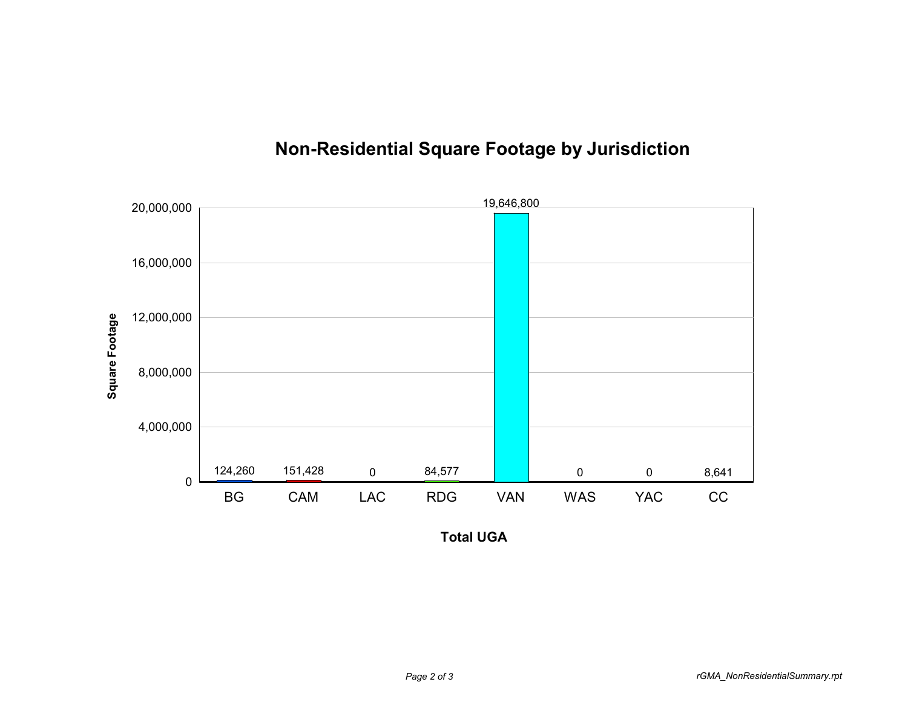

## **Non-Residential Square Footage by Jurisdiction**

**Total UGA**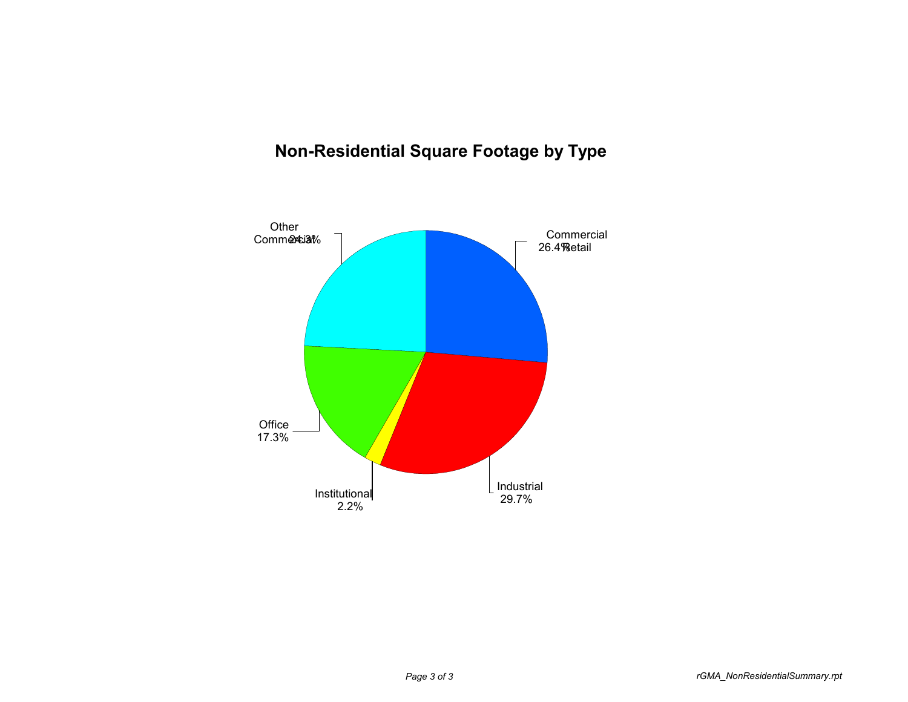## **Non-Residential Square Footage by Type**